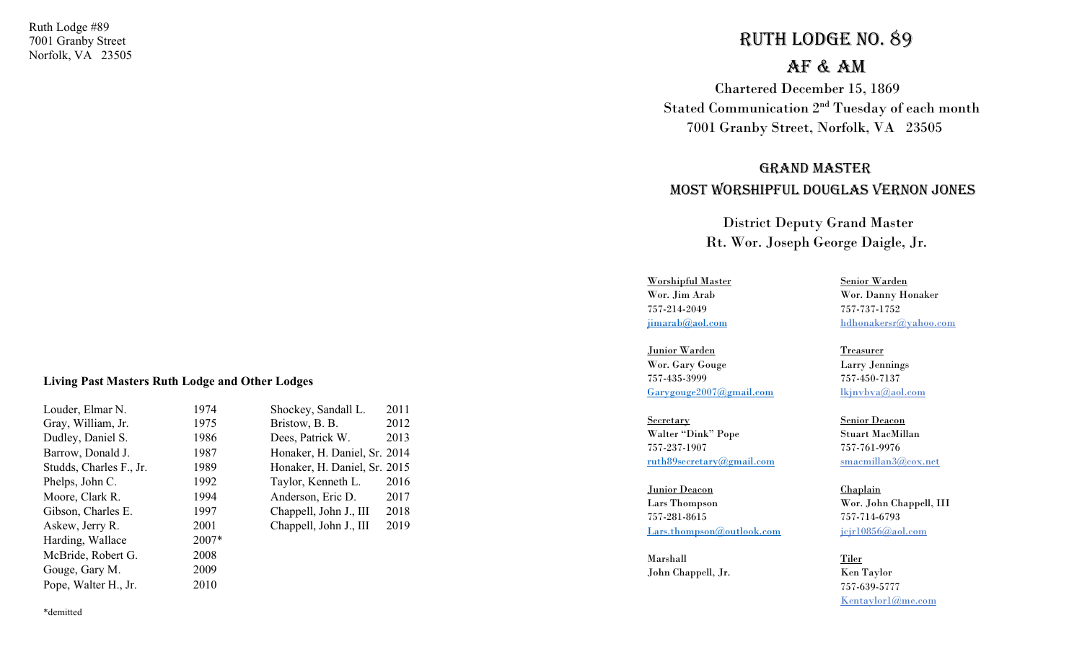Ruth Lodge #89 7001 Granby Street Norfolk, VA 23505

# Ruth Lodge No. 89

## AF & AM

 Chartered December 15, 1869 Stated Communication 2nd Tuesday of each month 7001 Granby Street, Norfolk, VA 23505

## gRANd MAsteR Most WoRshipFuL dougLAs VeRNoN JoNes

 District Deputy Grand Master Rt. Wor. Joseph George Daigle, Jr.

Worshipful Master Senior Warden 757-214-2049 757-737-1752

Junior Warden Treasurer Wor. Gary Gouge Larry Jennings 757-435-3999 757-450-7137 Garygouge2007@gmail.com lkjnvbva@aol.com

Secretary Senior Deacon Walter "Dink" Pope Stuart MacMillan 757-237-1907 757-761-9976 ruth89secretary@gmail.com smacmillan3@cox.net

Junior Deacon Chaplain Lars Thompson Wor. John Chappell, III 757-281-8615 757-714-6793 Lars.thompson@outlook.com jcjr10856@aol.com

 Marshall Tiler John Chappell, Jr. Ken Taylor

Wor. Jim Arab Wor. Danny Honaker jimarab@aol.com hdhonakersr@yahoo.com

 757-639-5777 Kentaylor1@me.com

#### Living Past Masters Ruth Lodge and Other Lodges

| Louder, Elmar N.        | 1974  | Shockey, Sandall L.          | 2011 |
|-------------------------|-------|------------------------------|------|
| Gray, William, Jr.      | 1975  | Bristow, B. B.               | 2012 |
| Dudley, Daniel S.       | 1986  | Dees, Patrick W.             | 2013 |
| Barrow, Donald J.       | 1987  | Honaker, H. Daniel, Sr. 2014 |      |
| Studds, Charles F., Jr. | 1989  | Honaker, H. Daniel, Sr. 2015 |      |
| Phelps, John C.         | 1992  | Taylor, Kenneth L.           | 2016 |
| Moore, Clark R.         | 1994  | Anderson, Eric D.            | 2017 |
| Gibson, Charles E.      | 1997  | Chappell, John J., III       | 2018 |
| Askew, Jerry R.         | 2001  | Chappell, John J., III       | 2019 |
| Harding, Wallace        | 2007* |                              |      |
| McBride, Robert G.      | 2008  |                              |      |
| Gouge, Gary M.          | 2009  |                              |      |
| Pope, Walter H., Jr.    | 2010  |                              |      |
|                         |       |                              |      |

\*demitted